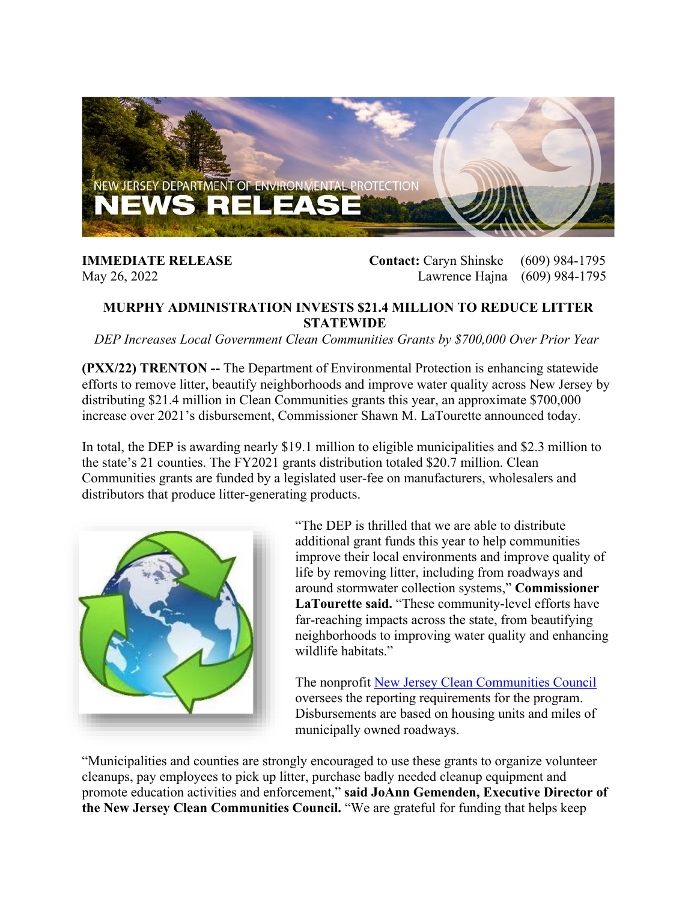

**IMMEDIATE RELEASE Contact:** Caryn Shinske (609) 984-1795 May 26, 2022 Lawrence Hajna (609) 984-1795

## **MURPHY ADMINISTRATION INVESTS \$21.4 MILLION TO REDUCE LITTER STATEWIDE**

*DEP Increases Local Government Clean Communities Grants by \$700,000 Over Prior Year*

**(PXX/22) TRENTON --** The Department of Environmental Protection is enhancing statewide efforts to remove litter, beautify neighborhoods and improve water quality across New Jersey by distributing \$21.4 million in Clean Communities grants this year, an approximate \$700,000 increase over 2021's disbursement, Commissioner Shawn M. LaTourette announced today.

In total, the DEP is awarding nearly \$19.1 million to eligible municipalities and \$2.3 million to the state's 21 counties. The FY2021 grants distribution totaled \$20.7 million. Clean Communities grants are funded by a legislated user-fee on manufacturers, wholesalers and distributors that produce litter-generating products.



"The DEP is thrilled that we are able to distribute additional grant funds this year to help communities improve their local environments and improve quality of life by removing litter, including from roadways and around stormwater collection systems," **Commissioner LaTourette said.** "These community-level efforts have far-reaching impacts across the state, from beautifying neighborhoods to improving water quality and enhancing wildlife habitats."

The nonprofit [New Jersey Clean Communities Council](https://www.njclean.org/) oversees the reporting requirements for the program. Disbursements are based on housing units and miles of municipally owned roadways.

"Municipalities and counties are strongly encouraged to use these grants to organize volunteer cleanups, pay employees to pick up litter, purchase badly needed cleanup equipment and promote education activities and enforcement," **said JoAnn Gemenden, Executive Director of the New Jersey Clean Communities Council.** "We are grateful for funding that helps keep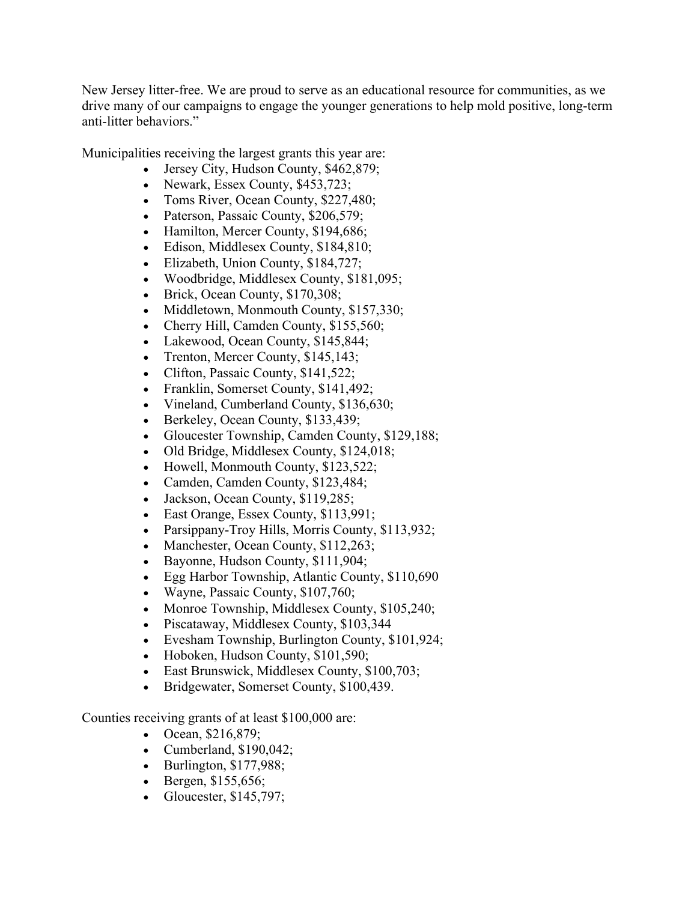New Jersey litter-free. We are proud to serve as an educational resource for communities, as we drive many of our campaigns to engage the younger generations to help mold positive, long-term anti-litter behaviors."

Municipalities receiving the largest grants this year are:

- Jersey City, Hudson County, \$462,879;
- Newark, Essex County, \$453,723;
- Toms River, Ocean County, \$227,480;
- Paterson, Passaic County, \$206,579;
- Hamilton, Mercer County, \$194,686;
- Edison, Middlesex County, \$184,810;
- Elizabeth, Union County, \$184,727;
- Woodbridge, Middlesex County, \$181,095;
- Brick, Ocean County, \$170,308;
- Middletown, Monmouth County, \$157,330;
- Cherry Hill, Camden County, \$155,560;
- Lakewood, Ocean County, \$145,844;
- Trenton, Mercer County, \$145,143;
- Clifton, Passaic County, \$141,522;
- Franklin, Somerset County, \$141,492;
- Vineland, Cumberland County, \$136,630;
- Berkeley, Ocean County, \$133,439;
- Gloucester Township, Camden County, \$129,188;
- Old Bridge, Middlesex County, \$124,018;
- Howell, Monmouth County, \$123,522;
- Camden, Camden County, \$123,484;
- Jackson, Ocean County, \$119,285;
- East Orange, Essex County, \$113,991;
- Parsippany-Troy Hills, Morris County, \$113,932;
- Manchester, Ocean County, \$112,263;
- Bayonne, Hudson County, \$111,904;
- Egg Harbor Township, Atlantic County, \$110,690
- Wayne, Passaic County, \$107,760;
- Monroe Township, Middlesex County, \$105,240;
- Piscataway, Middlesex County, \$103,344
- Evesham Township, Burlington County, \$101,924;
- Hoboken, Hudson County, \$101,590;
- East Brunswick, Middlesex County, \$100,703;
- Bridgewater, Somerset County, \$100,439.

Counties receiving grants of at least \$100,000 are:

- Ocean, \$216,879;
- Cumberland, \$190,042;
- Burlington, \$177,988;
- Bergen, \$155,656;
- Gloucester, \$145,797;